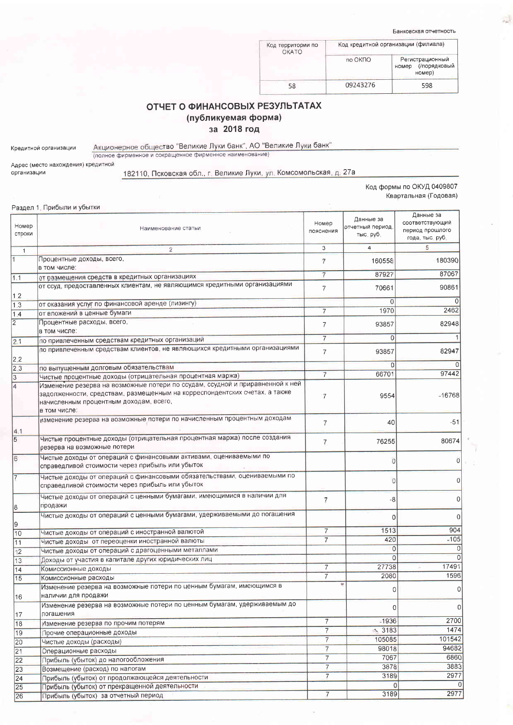Банковская отчетность

| Код территории по<br>OKATO | Код кредитной организации (филиала) |                                                 |  |
|----------------------------|-------------------------------------|-------------------------------------------------|--|
|                            | по ОКПО                             | Регистрационный<br>номер (/порядковый<br>номер) |  |
| 58                         | 09243276                            | 598                                             |  |

## ОТЧЕТ О ФИНАНСОВЫХ РЕЗУЛЬТАТАХ (публикуемая форма) за 2018 год

Кредитной организации

Акционерное общество "Великие Луки банк", АО "Великие Луки банк"<br>(полное фирменное и сокращенное фирменное наименование)

Адрес (место нахождения) кредитной организации

182110, Псковская обл., г. Великие Луки, ул. Комсомольская, д. 27а

Код формы по ОКУД 0409807 Квартальная (Годовая)

|                 | Раздел 1. Прибыли и убытки                                                                                                                                                                                            |                                  |                                            |                                                                    |
|-----------------|-----------------------------------------------------------------------------------------------------------------------------------------------------------------------------------------------------------------------|----------------------------------|--------------------------------------------|--------------------------------------------------------------------|
| Номер<br>строки | Наименование статьи                                                                                                                                                                                                   | Номер<br>пояснения               | Данные за<br>отчетный период,<br>тыс. руб. | Данные за<br>соответствующий<br>период прошлого<br>года, тыс. руб. |
| $\mathbf{1}$    | $\overline{c}$                                                                                                                                                                                                        | 3                                | 4                                          | 5                                                                  |
| $\overline{1}$  | Процентные доходы, всего,<br>в том числе:                                                                                                                                                                             | 7                                | 160558                                     | 180390                                                             |
| 1.1             | от размещения средств в кредитных организациях                                                                                                                                                                        | $\overline{7}$                   | 87927                                      | 87067                                                              |
| 1.2             | от ссуд, предоставленных клиентам, не являющимся кредитными организациями                                                                                                                                             | $\overline{7}$                   | 70661                                      | 90861                                                              |
| 1.3             | от оказания услуг по финансовой аренде (лизингу)                                                                                                                                                                      |                                  | $\Omega$                                   |                                                                    |
| 1.4             | от вложений в ценные бумаги                                                                                                                                                                                           | $\overline{7}$                   | 1970                                       | 2462                                                               |
| $\overline{2}$  | Процентные расходы, всего,<br>в том числе:                                                                                                                                                                            | $\overline{7}$                   | 93857                                      | 82948                                                              |
| 2.1             | по привлеченным средствам кредитных организаций                                                                                                                                                                       | $\overline{7}$                   | 0                                          |                                                                    |
| 2.2             | по привлеченным средствам клиентов, не являющихся кредитными организациями                                                                                                                                            | $\overline{7}$                   | 93857                                      | 82947                                                              |
| 2.3             | по выпущенным долговым обязательствам                                                                                                                                                                                 |                                  | 0                                          |                                                                    |
| 3               | Чистые процентные доходы (отрицательная процентная маржа)                                                                                                                                                             | $\overline{7}$                   | 66701                                      | 97442                                                              |
| $\overline{4}$  | Изменение резерва на возможные потери по ссудам, ссудной и приравненной к ней<br>задолженности, средствам, размещенным на корреспондентских счетах, а также<br>начисленным процентным доходам, всего,<br>в том числе: | $\overline{7}$                   | 9554                                       | $-16768$                                                           |
| 4.1             | изменение резерва на возможные потери по начисленным процентным доходам                                                                                                                                               | $\overline{7}$                   | 40                                         | $-51$                                                              |
| $\overline{5}$  | Чистые процентные доходы (отрицательная процентная маржа) после создания<br>резерва на возможные потери                                                                                                               | $\overline{7}$                   | 76255                                      | 80674                                                              |
| 6               | Чистые доходы от операций с финансовыми активами, оцениваемыми по<br>справедливой стоимости через прибыль или убыток                                                                                                  |                                  | $\Omega$                                   | 0                                                                  |
| 7               | Чистые доходы от операций с финансовыми обязательствами, оцениваемыми по<br>справедливой стоимости через прибыль или убыток                                                                                           |                                  | $\overline{0}$                             |                                                                    |
| 8               | Чистые доходы от операций с ценными бумагами, имеющимися в наличии для<br>продажи                                                                                                                                     | $\overline{7}$                   | -8                                         | 0                                                                  |
| 19              | Чистые доходы от операций с ценными бумагами, удерживаемыми до погашения                                                                                                                                              |                                  | 0                                          | 0                                                                  |
| 10              | Чистые доходы от операций с иностранной валютой                                                                                                                                                                       | $\overline{7}$                   | 1513                                       | 904                                                                |
| 11              | Чистые доходы от переоценки иностранной валюты                                                                                                                                                                        | $\overline{7}$                   | 420                                        | $-105$                                                             |
| 12              | Чистые доходы от операций с драгоценными металлами                                                                                                                                                                    |                                  | $\overline{0}$                             | $\overline{0}$                                                     |
| 13              | Доходы от участия в капитале других юридических лиц                                                                                                                                                                   |                                  | $\Omega$                                   | $\overline{0}$<br>17491                                            |
| 14              | Комиссионные доходы                                                                                                                                                                                                   | $\overline{7}$<br>$\overline{7}$ | 27738<br>2080                              | 1596                                                               |
| 15              | Комиссионные расходы                                                                                                                                                                                                  |                                  |                                            |                                                                    |
| 16              | Изменение резерва на возможные потери по ценным бумагам, имеющимся в<br>наличии для продажи                                                                                                                           |                                  | U                                          | $\Omega$                                                           |
| 17              | Изменение резерва на возможные потери по ценным бумагам, удерживаемым до<br>погашения                                                                                                                                 |                                  | 0                                          | $\vert 0 \vert$                                                    |
| 18              | Изменение резерва по прочим потерям                                                                                                                                                                                   | $\overline{7}$                   | $-1936$                                    | 2700                                                               |
| 19              | Прочие операционные доходы                                                                                                                                                                                            | $\overline{7}$                   | $\sim$ 3183                                | 1474                                                               |
| 20              | Чистые доходы (расходы)                                                                                                                                                                                               | $\overline{7}$                   | 105085                                     | 101542                                                             |
| 21              | Операционные расходы                                                                                                                                                                                                  | $\overline{7}$                   | 98018                                      | 94682                                                              |
| 22              | Прибыль (убыток) до налогообложения                                                                                                                                                                                   | $\overline{7}$                   | 7067                                       | 6860<br>3883                                                       |
| 23              | Возмещение (расход) по налогам                                                                                                                                                                                        | $\overline{7}$<br>$\overline{7}$ | 3878<br>3189                               | 2977                                                               |
| 24              | Прибыль (убыток) от продолжающейся деятельности                                                                                                                                                                       |                                  | $\circ$                                    | $\Omega$                                                           |
| 25 <br>26       | Прибыль (убыток) от прекращенной деятельности<br>Прибыль (убыток) за отчетный период                                                                                                                                  | $\overline{7}$                   | 3189                                       | 2977                                                               |
|                 |                                                                                                                                                                                                                       |                                  |                                            |                                                                    |

 $\frac{1}{\left\| \mathbf{r}_{\mathbf{p}} \right\|_2^2}$